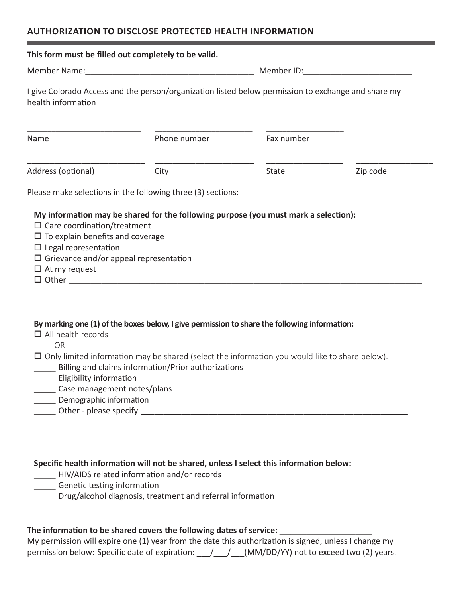## **AUTHORIZATION TO DISCLOSE PROTECTED HEALTH INFORMATION**

| This form must be filled out completely to be valid.                                                                      |                                                                                                                                                              |              |          |  |
|---------------------------------------------------------------------------------------------------------------------------|--------------------------------------------------------------------------------------------------------------------------------------------------------------|--------------|----------|--|
|                                                                                                                           |                                                                                                                                                              |              |          |  |
| I give Colorado Access and the person/organization listed below permission to exchange and share my<br>health information |                                                                                                                                                              |              |          |  |
| Name                                                                                                                      | Phone number                                                                                                                                                 | Fax number   |          |  |
| Address (optional)                                                                                                        | City                                                                                                                                                         | <b>State</b> | Zip code |  |
|                                                                                                                           | Please make selections in the following three (3) sections:                                                                                                  |              |          |  |
| $\Box$ Care coordination/treatment<br>$\Box$ To explain benefits and coverage<br>$\Box$ Legal representation              | My information may be shared for the following purpose (you must mark a selection):                                                                          |              |          |  |
| $\Box$ Grievance and/or appeal representation<br>$\Box$ At my request                                                     |                                                                                                                                                              |              |          |  |
| $\Box$ All health records<br><b>OR</b>                                                                                    | By marking one (1) of the boxes below, I give permission to share the following information:                                                                 |              |          |  |
| ___ Eligibility information<br>______ Case management notes/plans                                                         | $\Box$ Only limited information may be shared (select the information you would like to share below).<br>Billing and claims information/Prior authorizations |              |          |  |

- \_\_\_\_ HIV/AIDS related information and/or records
- \_\_\_\_ Genetic testing information
- \_\_\_\_ Drug/alcohol diagnosis, treatment and referral information

## **The information to be shared covers the following dates of service:** \_\_\_\_\_\_\_\_\_\_\_\_\_\_\_\_\_

My permission will expire one (1) year from the date this authorization is signed, unless I change my permission below: Specific date of expiration:  $/$  /  $/$  (MM/DD/YY) not to exceed two (2) years.